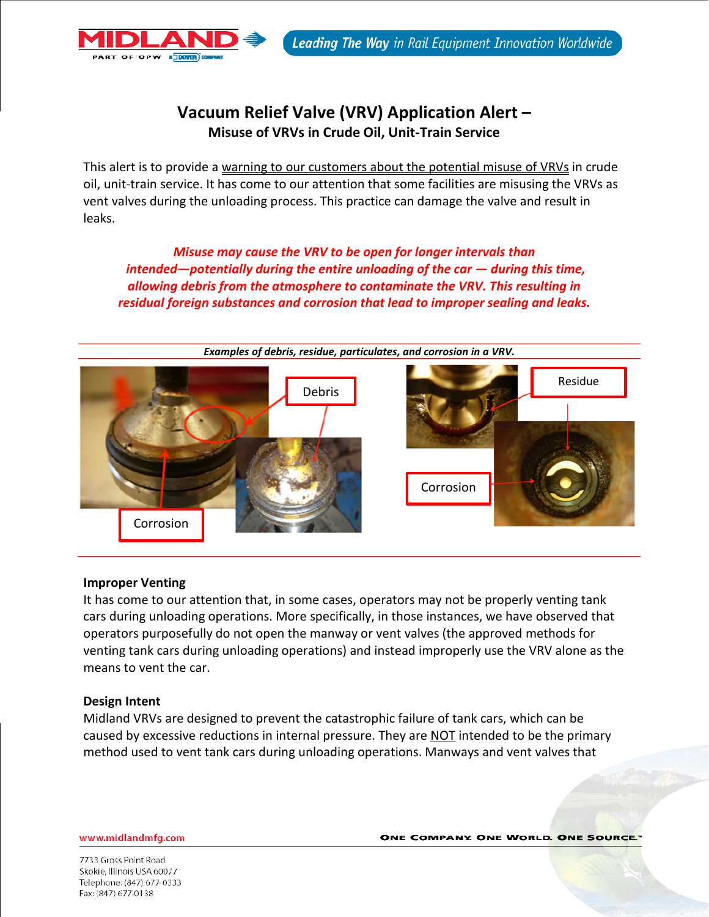# **Vacuum Relief Valve (VRV) Application Alert – Misuse of VRVs in Crude Oil, Unit-Train Service**

This alert is to provide a warning to our customers about the potential misuse of VRVs in crude oil, unit-train service. It has come to our attention that some facilities are misusing the VRVs as vent valves during the unloading process. This practice can damage the valve and result in leaks.

*Misuse may cause the VRV to be open for longer intervals than intended—potentially during the entire unloading of the car — during this time, allowing debris from the atmosphere to contaminate the VRV. This resulting in residual foreign substances and corrosion that lead to improper sealing and leaks.* 



# **Improper Venting**

OF OPW ADOVER 0

It has come to our attention that, in some cases, operators may not be properly venting tank cars during unloading operations. More specifically, in those instances, we have observed that operators purposefully do not open the manway or vent valves (the approved methods for venting tank cars during unloading operations) and instead improperly use the VRV alone as the means to vent the car.

# **Design Intent**

Midland VRVs are designed to prevent the catastrophic failure of tank cars, which can be caused by excessive reductions in internal pressure. They are **NOT** intended to be the primary method used to vent tank cars during unloading operations. Manways and vent valves that

www.midlandmfg.com

**ONE COMPANY. ONE WORLD. ONE SOURCE.**"

7733 Gross Point Road Skokie, Illinois USA 60077 Telephone: (847) 677-0333 Fax: (847) 677-0138